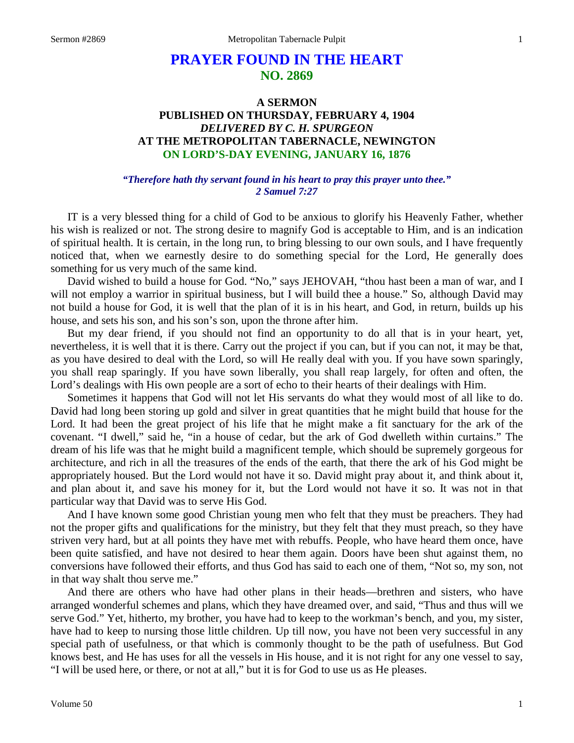# **PRAYER FOUND IN THE HEART NO. 2869**

## **A SERMON PUBLISHED ON THURSDAY, FEBRUARY 4, 1904** *DELIVERED BY C. H. SPURGEON* **AT THE METROPOLITAN TABERNACLE, NEWINGTON ON LORD'S-DAY EVENING, JANUARY 16, 1876**

#### *"Therefore hath thy servant found in his heart to pray this prayer unto thee." 2 Samuel 7:27*

IT is a very blessed thing for a child of God to be anxious to glorify his Heavenly Father, whether his wish is realized or not. The strong desire to magnify God is acceptable to Him, and is an indication of spiritual health. It is certain, in the long run, to bring blessing to our own souls, and I have frequently noticed that, when we earnestly desire to do something special for the Lord, He generally does something for us very much of the same kind.

David wished to build a house for God. "No," says JEHOVAH, "thou hast been a man of war, and I will not employ a warrior in spiritual business, but I will build thee a house." So, although David may not build a house for God, it is well that the plan of it is in his heart, and God, in return, builds up his house, and sets his son, and his son's son, upon the throne after him.

But my dear friend, if you should not find an opportunity to do all that is in your heart, yet, nevertheless, it is well that it is there. Carry out the project if you can, but if you can not, it may be that, as you have desired to deal with the Lord, so will He really deal with you. If you have sown sparingly, you shall reap sparingly. If you have sown liberally, you shall reap largely, for often and often, the Lord's dealings with His own people are a sort of echo to their hearts of their dealings with Him.

Sometimes it happens that God will not let His servants do what they would most of all like to do. David had long been storing up gold and silver in great quantities that he might build that house for the Lord. It had been the great project of his life that he might make a fit sanctuary for the ark of the covenant. "I dwell," said he, "in a house of cedar, but the ark of God dwelleth within curtains." The dream of his life was that he might build a magnificent temple, which should be supremely gorgeous for architecture, and rich in all the treasures of the ends of the earth, that there the ark of his God might be appropriately housed. But the Lord would not have it so. David might pray about it, and think about it, and plan about it, and save his money for it, but the Lord would not have it so. It was not in that particular way that David was to serve His God.

And I have known some good Christian young men who felt that they must be preachers. They had not the proper gifts and qualifications for the ministry, but they felt that they must preach, so they have striven very hard, but at all points they have met with rebuffs. People, who have heard them once, have been quite satisfied, and have not desired to hear them again. Doors have been shut against them, no conversions have followed their efforts, and thus God has said to each one of them, "Not so, my son, not in that way shalt thou serve me."

And there are others who have had other plans in their heads—brethren and sisters, who have arranged wonderful schemes and plans, which they have dreamed over, and said, "Thus and thus will we serve God." Yet, hitherto, my brother, you have had to keep to the workman's bench, and you, my sister, have had to keep to nursing those little children. Up till now, you have not been very successful in any special path of usefulness, or that which is commonly thought to be the path of usefulness. But God knows best, and He has uses for all the vessels in His house, and it is not right for any one vessel to say, "I will be used here, or there, or not at all," but it is for God to use us as He pleases.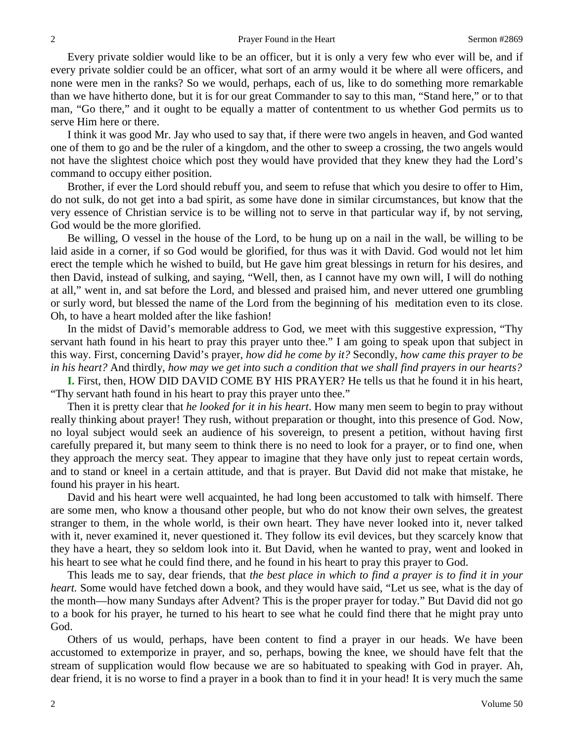Every private soldier would like to be an officer, but it is only a very few who ever will be, and if every private soldier could be an officer, what sort of an army would it be where all were officers, and none were men in the ranks? So we would, perhaps, each of us, like to do something more remarkable than we have hitherto done, but it is for our great Commander to say to this man, "Stand here," or to that man, "Go there," and it ought to be equally a matter of contentment to us whether God permits us to serve Him here or there.

I think it was good Mr. Jay who used to say that, if there were two angels in heaven, and God wanted one of them to go and be the ruler of a kingdom, and the other to sweep a crossing, the two angels would not have the slightest choice which post they would have provided that they knew they had the Lord's command to occupy either position.

Brother, if ever the Lord should rebuff you, and seem to refuse that which you desire to offer to Him, do not sulk, do not get into a bad spirit, as some have done in similar circumstances, but know that the very essence of Christian service is to be willing not to serve in that particular way if, by not serving, God would be the more glorified.

Be willing, O vessel in the house of the Lord, to be hung up on a nail in the wall, be willing to be laid aside in a corner, if so God would be glorified, for thus was it with David. God would not let him erect the temple which he wished to build, but He gave him great blessings in return for his desires, and then David, instead of sulking, and saying, "Well, then, as I cannot have my own will, I will do nothing at all," went in, and sat before the Lord, and blessed and praised him, and never uttered one grumbling or surly word, but blessed the name of the Lord from the beginning of his meditation even to its close. Oh, to have a heart molded after the like fashion!

In the midst of David's memorable address to God, we meet with this suggestive expression, "Thy servant hath found in his heart to pray this prayer unto thee." I am going to speak upon that subject in this way. First, concerning David's prayer, *how did he come by it?* Secondly, *how came this prayer to be in his heart?* And thirdly, *how may we get into such a condition that we shall find prayers in our hearts?*

**I.** First, then, HOW DID DAVID COME BY HIS PRAYER? He tells us that he found it in his heart, "Thy servant hath found in his heart to pray this prayer unto thee."

Then it is pretty clear that *he looked for it in his heart*. How many men seem to begin to pray without really thinking about prayer! They rush, without preparation or thought, into this presence of God. Now, no loyal subject would seek an audience of his sovereign, to present a petition, without having first carefully prepared it, but many seem to think there is no need to look for a prayer, or to find one, when they approach the mercy seat. They appear to imagine that they have only just to repeat certain words, and to stand or kneel in a certain attitude, and that is prayer. But David did not make that mistake, he found his prayer in his heart.

David and his heart were well acquainted, he had long been accustomed to talk with himself. There are some men, who know a thousand other people, but who do not know their own selves, the greatest stranger to them, in the whole world, is their own heart. They have never looked into it, never talked with it, never examined it, never questioned it. They follow its evil devices, but they scarcely know that they have a heart, they so seldom look into it. But David, when he wanted to pray, went and looked in his heart to see what he could find there, and he found in his heart to pray this prayer to God.

This leads me to say, dear friends, that *the best place in which to find a prayer is to find it in your heart.* Some would have fetched down a book, and they would have said, "Let us see, what is the day of the month—how many Sundays after Advent? This is the proper prayer for today." But David did not go to a book for his prayer, he turned to his heart to see what he could find there that he might pray unto God.

Others of us would, perhaps, have been content to find a prayer in our heads. We have been accustomed to extemporize in prayer, and so, perhaps, bowing the knee, we should have felt that the stream of supplication would flow because we are so habituated to speaking with God in prayer. Ah, dear friend, it is no worse to find a prayer in a book than to find it in your head! It is very much the same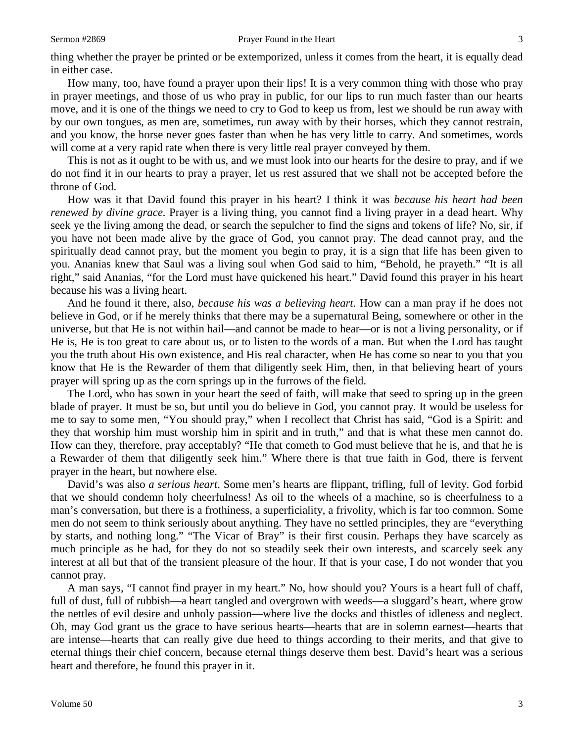How many, too, have found a prayer upon their lips! It is a very common thing with those who pray in prayer meetings, and those of us who pray in public, for our lips to run much faster than our hearts move, and it is one of the things we need to cry to God to keep us from, lest we should be run away with by our own tongues, as men are, sometimes, run away with by their horses, which they cannot restrain, and you know, the horse never goes faster than when he has very little to carry. And sometimes, words will come at a very rapid rate when there is very little real prayer conveyed by them.

This is not as it ought to be with us, and we must look into our hearts for the desire to pray, and if we do not find it in our hearts to pray a prayer, let us rest assured that we shall not be accepted before the throne of God.

How was it that David found this prayer in his heart? I think it was *because his heart had been renewed by divine grace.* Prayer is a living thing, you cannot find a living prayer in a dead heart. Why seek ye the living among the dead, or search the sepulcher to find the signs and tokens of life? No, sir, if you have not been made alive by the grace of God, you cannot pray. The dead cannot pray, and the spiritually dead cannot pray, but the moment you begin to pray, it is a sign that life has been given to you. Ananias knew that Saul was a living soul when God said to him, "Behold, he prayeth." "It is all right," said Ananias, "for the Lord must have quickened his heart." David found this prayer in his heart because his was a living heart.

And he found it there, also, *because his was a believing heart*. How can a man pray if he does not believe in God, or if he merely thinks that there may be a supernatural Being, somewhere or other in the universe, but that He is not within hail—and cannot be made to hear—or is not a living personality, or if He is, He is too great to care about us, or to listen to the words of a man. But when the Lord has taught you the truth about His own existence, and His real character, when He has come so near to you that you know that He is the Rewarder of them that diligently seek Him, then, in that believing heart of yours prayer will spring up as the corn springs up in the furrows of the field.

The Lord, who has sown in your heart the seed of faith, will make that seed to spring up in the green blade of prayer. It must be so, but until you do believe in God, you cannot pray. It would be useless for me to say to some men, "You should pray," when I recollect that Christ has said, "God is a Spirit: and they that worship him must worship him in spirit and in truth," and that is what these men cannot do. How can they, therefore, pray acceptably? "He that cometh to God must believe that he is, and that he is a Rewarder of them that diligently seek him." Where there is that true faith in God, there is fervent prayer in the heart, but nowhere else.

David's was also *a serious heart*. Some men's hearts are flippant, trifling, full of levity. God forbid that we should condemn holy cheerfulness! As oil to the wheels of a machine, so is cheerfulness to a man's conversation, but there is a frothiness, a superficiality, a frivolity, which is far too common. Some men do not seem to think seriously about anything. They have no settled principles, they are "everything by starts, and nothing long." "The Vicar of Bray" is their first cousin. Perhaps they have scarcely as much principle as he had, for they do not so steadily seek their own interests, and scarcely seek any interest at all but that of the transient pleasure of the hour. If that is your case, I do not wonder that you cannot pray.

A man says, "I cannot find prayer in my heart." No, how should you? Yours is a heart full of chaff, full of dust, full of rubbish—a heart tangled and overgrown with weeds—a sluggard's heart, where grow the nettles of evil desire and unholy passion—where live the docks and thistles of idleness and neglect. Oh, may God grant us the grace to have serious hearts—hearts that are in solemn earnest—hearts that are intense—hearts that can really give due heed to things according to their merits, and that give to eternal things their chief concern, because eternal things deserve them best. David's heart was a serious heart and therefore, he found this prayer in it.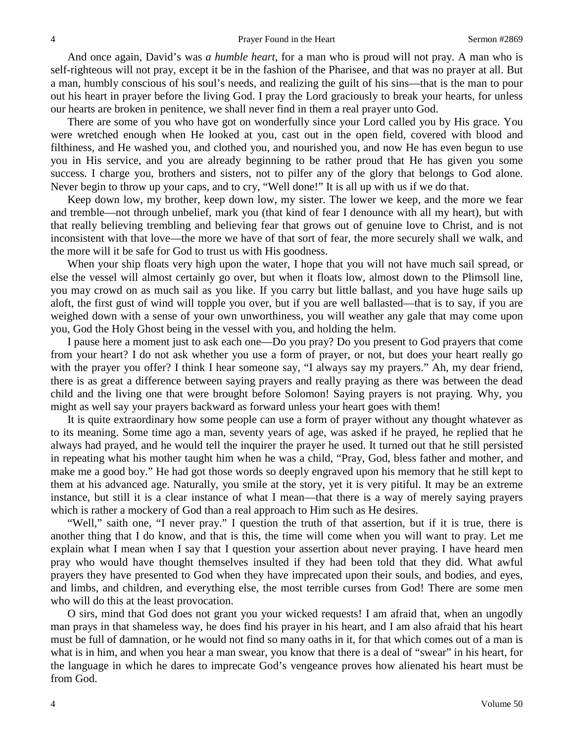And once again, David's was *a humble heart,* for a man who is proud will not pray. A man who is self-righteous will not pray, except it be in the fashion of the Pharisee, and that was no prayer at all. But a man, humbly conscious of his soul's needs, and realizing the guilt of his sins—that is the man to pour out his heart in prayer before the living God. I pray the Lord graciously to break your hearts, for unless our hearts are broken in penitence, we shall never find in them a real prayer unto God.

There are some of you who have got on wonderfully since your Lord called you by His grace. You were wretched enough when He looked at you, cast out in the open field, covered with blood and filthiness, and He washed you, and clothed you, and nourished you, and now He has even begun to use you in His service, and you are already beginning to be rather proud that He has given you some success. I charge you, brothers and sisters, not to pilfer any of the glory that belongs to God alone. Never begin to throw up your caps, and to cry, "Well done!" It is all up with us if we do that.

Keep down low, my brother, keep down low, my sister. The lower we keep, and the more we fear and tremble—not through unbelief, mark you (that kind of fear I denounce with all my heart), but with that really believing trembling and believing fear that grows out of genuine love to Christ, and is not inconsistent with that love—the more we have of that sort of fear, the more securely shall we walk, and the more will it be safe for God to trust us with His goodness.

When your ship floats very high upon the water, I hope that you will not have much sail spread, or else the vessel will almost certainly go over, but when it floats low, almost down to the Plimsoll line, you may crowd on as much sail as you like. If you carry but little ballast, and you have huge sails up aloft, the first gust of wind will topple you over, but if you are well ballasted—that is to say, if you are weighed down with a sense of your own unworthiness, you will weather any gale that may come upon you, God the Holy Ghost being in the vessel with you, and holding the helm.

I pause here a moment just to ask each one—Do you pray? Do you present to God prayers that come from your heart? I do not ask whether you use a form of prayer, or not, but does your heart really go with the prayer you offer? I think I hear someone say, "I always say my prayers." Ah, my dear friend, there is as great a difference between saying prayers and really praying as there was between the dead child and the living one that were brought before Solomon! Saying prayers is not praying. Why, you might as well say your prayers backward as forward unless your heart goes with them!

It is quite extraordinary how some people can use a form of prayer without any thought whatever as to its meaning. Some time ago a man, seventy years of age, was asked if he prayed, he replied that he always had prayed, and he would tell the inquirer the prayer he used. It turned out that he still persisted in repeating what his mother taught him when he was a child, "Pray, God, bless father and mother, and make me a good boy." He had got those words so deeply engraved upon his memory that he still kept to them at his advanced age. Naturally, you smile at the story, yet it is very pitiful. It may be an extreme instance, but still it is a clear instance of what I mean—that there is a way of merely saying prayers which is rather a mockery of God than a real approach to Him such as He desires.

"Well," saith one, "I never pray." I question the truth of that assertion, but if it is true, there is another thing that I do know, and that is this, the time will come when you will want to pray. Let me explain what I mean when I say that I question your assertion about never praying. I have heard men pray who would have thought themselves insulted if they had been told that they did. What awful prayers they have presented to God when they have imprecated upon their souls, and bodies, and eyes, and limbs, and children, and everything else, the most terrible curses from God! There are some men who will do this at the least provocation.

O sirs, mind that God does not grant you your wicked requests! I am afraid that, when an ungodly man prays in that shameless way, he does find his prayer in his heart, and I am also afraid that his heart must be full of damnation, or he would not find so many oaths in it, for that which comes out of a man is what is in him, and when you hear a man swear, you know that there is a deal of "swear" in his heart, for the language in which he dares to imprecate God's vengeance proves how alienated his heart must be from God.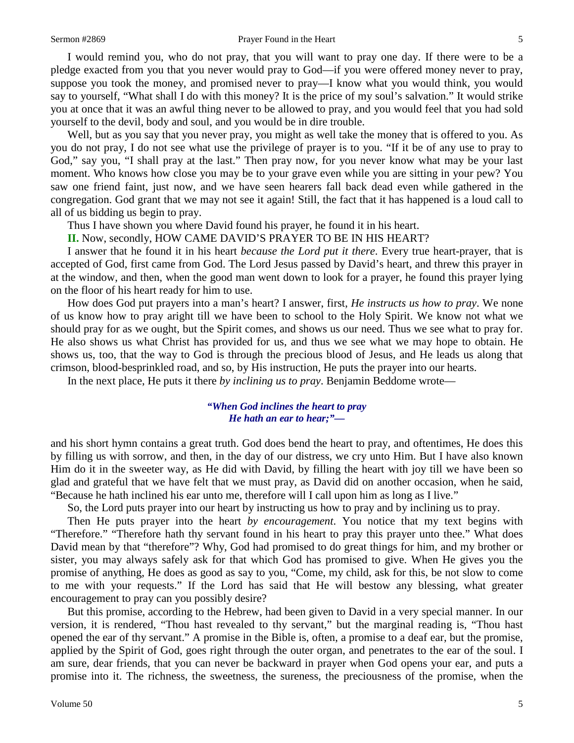#### Sermon #2869 **Prayer Found in the Heart** 5

I would remind you, who do not pray, that you will want to pray one day. If there were to be a pledge exacted from you that you never would pray to God—if you were offered money never to pray, suppose you took the money, and promised never to pray—I know what you would think, you would say to yourself, "What shall I do with this money? It is the price of my soul's salvation." It would strike you at once that it was an awful thing never to be allowed to pray, and you would feel that you had sold yourself to the devil, body and soul, and you would be in dire trouble.

Well, but as you say that you never pray, you might as well take the money that is offered to you. As you do not pray, I do not see what use the privilege of prayer is to you. "If it be of any use to pray to God," say you, "I shall pray at the last." Then pray now, for you never know what may be your last moment. Who knows how close you may be to your grave even while you are sitting in your pew? You saw one friend faint, just now, and we have seen hearers fall back dead even while gathered in the congregation. God grant that we may not see it again! Still, the fact that it has happened is a loud call to all of us bidding us begin to pray.

Thus I have shown you where David found his prayer, he found it in his heart.

**II.** Now, secondly, HOW CAME DAVID'S PRAYER TO BE IN HIS HEART?

I answer that he found it in his heart *because the Lord put it there*. Every true heart-prayer, that is accepted of God, first came from God. The Lord Jesus passed by David's heart, and threw this prayer in at the window, and then, when the good man went down to look for a prayer, he found this prayer lying on the floor of his heart ready for him to use.

How does God put prayers into a man's heart? I answer, first, *He instructs us how to pray*. We none of us know how to pray aright till we have been to school to the Holy Spirit. We know not what we should pray for as we ought, but the Spirit comes, and shows us our need. Thus we see what to pray for. He also shows us what Christ has provided for us, and thus we see what we may hope to obtain. He shows us, too, that the way to God is through the precious blood of Jesus, and He leads us along that crimson, blood-besprinkled road, and so, by His instruction, He puts the prayer into our hearts.

In the next place, He puts it there *by inclining us to pray*. Benjamin Beddome wrote—

#### *"When God inclines the heart to pray He hath an ear to hear;"—*

and his short hymn contains a great truth. God does bend the heart to pray, and oftentimes, He does this by filling us with sorrow, and then, in the day of our distress, we cry unto Him. But I have also known Him do it in the sweeter way, as He did with David, by filling the heart with joy till we have been so glad and grateful that we have felt that we must pray, as David did on another occasion, when he said, "Because he hath inclined his ear unto me, therefore will I call upon him as long as I live."

So, the Lord puts prayer into our heart by instructing us how to pray and by inclining us to pray.

Then He puts prayer into the heart *by encouragement*. You notice that my text begins with "Therefore." "Therefore hath thy servant found in his heart to pray this prayer unto thee." What does David mean by that "therefore"? Why, God had promised to do great things for him, and my brother or sister, you may always safely ask for that which God has promised to give. When He gives you the promise of anything, He does as good as say to you, "Come, my child, ask for this, be not slow to come to me with your requests." If the Lord has said that He will bestow any blessing, what greater encouragement to pray can you possibly desire?

But this promise, according to the Hebrew, had been given to David in a very special manner. In our version, it is rendered, "Thou hast revealed to thy servant," but the marginal reading is, "Thou hast opened the ear of thy servant." A promise in the Bible is, often, a promise to a deaf ear, but the promise, applied by the Spirit of God, goes right through the outer organ, and penetrates to the ear of the soul. I am sure, dear friends, that you can never be backward in prayer when God opens your ear, and puts a promise into it. The richness, the sweetness, the sureness, the preciousness of the promise, when the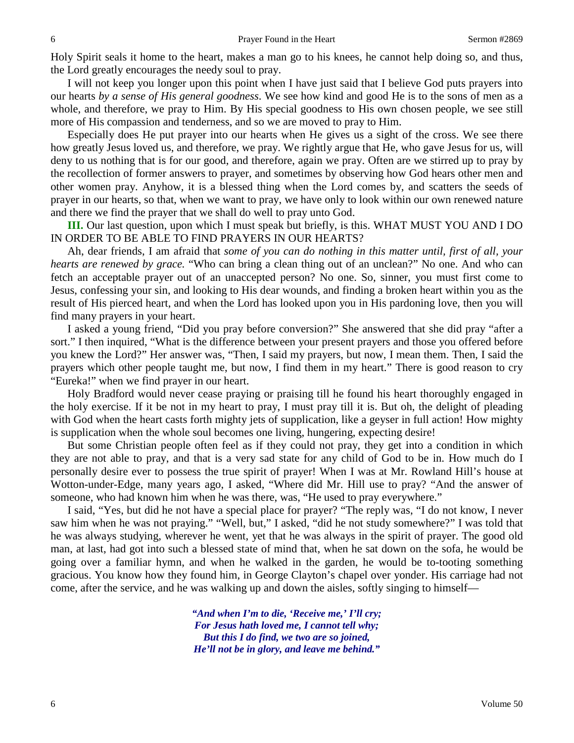Holy Spirit seals it home to the heart, makes a man go to his knees, he cannot help doing so, and thus, the Lord greatly encourages the needy soul to pray.

I will not keep you longer upon this point when I have just said that I believe God puts prayers into our hearts *by a sense of His general goodness*. We see how kind and good He is to the sons of men as a whole, and therefore, we pray to Him. By His special goodness to His own chosen people, we see still more of His compassion and tenderness, and so we are moved to pray to Him.

Especially does He put prayer into our hearts when He gives us a sight of the cross. We see there how greatly Jesus loved us, and therefore, we pray. We rightly argue that He, who gave Jesus for us, will deny to us nothing that is for our good, and therefore, again we pray. Often are we stirred up to pray by the recollection of former answers to prayer, and sometimes by observing how God hears other men and other women pray. Anyhow, it is a blessed thing when the Lord comes by, and scatters the seeds of prayer in our hearts, so that, when we want to pray, we have only to look within our own renewed nature and there we find the prayer that we shall do well to pray unto God.

**III.** Our last question, upon which I must speak but briefly, is this. WHAT MUST YOU AND I DO IN ORDER TO BE ABLE TO FIND PRAYERS IN OUR HEARTS?

Ah, dear friends, I am afraid that *some of you can do nothing in this matter until, first of all, your hearts are renewed by grace.* "Who can bring a clean thing out of an unclean?" No one. And who can fetch an acceptable prayer out of an unaccepted person? No one. So, sinner, you must first come to Jesus, confessing your sin, and looking to His dear wounds, and finding a broken heart within you as the result of His pierced heart, and when the Lord has looked upon you in His pardoning love, then you will find many prayers in your heart.

I asked a young friend, "Did you pray before conversion?" She answered that she did pray "after a sort." I then inquired, "What is the difference between your present prayers and those you offered before you knew the Lord?" Her answer was, "Then, I said my prayers, but now, I mean them. Then, I said the prayers which other people taught me, but now, I find them in my heart." There is good reason to cry "Eureka!" when we find prayer in our heart.

Holy Bradford would never cease praying or praising till he found his heart thoroughly engaged in the holy exercise. If it be not in my heart to pray, I must pray till it is. But oh, the delight of pleading with God when the heart casts forth mighty jets of supplication, like a geyser in full action! How mighty is supplication when the whole soul becomes one living, hungering, expecting desire!

But some Christian people often feel as if they could not pray, they get into a condition in which they are not able to pray, and that is a very sad state for any child of God to be in. How much do I personally desire ever to possess the true spirit of prayer! When I was at Mr. Rowland Hill's house at Wotton-under-Edge, many years ago, I asked, "Where did Mr. Hill use to pray? "And the answer of someone, who had known him when he was there, was, "He used to pray everywhere."

I said, "Yes, but did he not have a special place for prayer? "The reply was, "I do not know, I never saw him when he was not praying." "Well, but," I asked, "did he not study somewhere?" I was told that he was always studying, wherever he went, yet that he was always in the spirit of prayer. The good old man, at last, had got into such a blessed state of mind that, when he sat down on the sofa, he would be going over a familiar hymn, and when he walked in the garden, he would be to-tooting something gracious. You know how they found him, in George Clayton's chapel over yonder. His carriage had not come, after the service, and he was walking up and down the aisles, softly singing to himself—

> *"And when I'm to die, 'Receive me,' I'll cry; For Jesus hath loved me, I cannot tell why; But this I do find, we two are so joined, He'll not be in glory, and leave me behind."*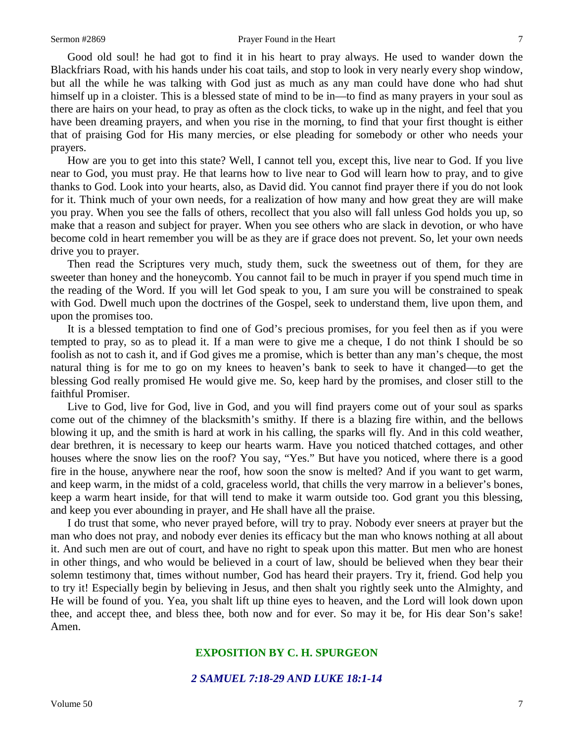Good old soul! he had got to find it in his heart to pray always. He used to wander down the Blackfriars Road, with his hands under his coat tails, and stop to look in very nearly every shop window, but all the while he was talking with God just as much as any man could have done who had shut himself up in a cloister. This is a blessed state of mind to be in—to find as many prayers in your soul as there are hairs on your head, to pray as often as the clock ticks, to wake up in the night, and feel that you have been dreaming prayers, and when you rise in the morning, to find that your first thought is either that of praising God for His many mercies, or else pleading for somebody or other who needs your prayers.

How are you to get into this state? Well, I cannot tell you, except this, live near to God. If you live near to God, you must pray. He that learns how to live near to God will learn how to pray, and to give thanks to God. Look into your hearts, also, as David did. You cannot find prayer there if you do not look for it. Think much of your own needs, for a realization of how many and how great they are will make you pray. When you see the falls of others, recollect that you also will fall unless God holds you up, so make that a reason and subject for prayer. When you see others who are slack in devotion, or who have become cold in heart remember you will be as they are if grace does not prevent. So, let your own needs drive you to prayer.

Then read the Scriptures very much, study them, suck the sweetness out of them, for they are sweeter than honey and the honeycomb. You cannot fail to be much in prayer if you spend much time in the reading of the Word. If you will let God speak to you, I am sure you will be constrained to speak with God. Dwell much upon the doctrines of the Gospel, seek to understand them, live upon them, and upon the promises too.

It is a blessed temptation to find one of God's precious promises, for you feel then as if you were tempted to pray, so as to plead it. If a man were to give me a cheque, I do not think I should be so foolish as not to cash it, and if God gives me a promise, which is better than any man's cheque, the most natural thing is for me to go on my knees to heaven's bank to seek to have it changed—to get the blessing God really promised He would give me. So, keep hard by the promises, and closer still to the faithful Promiser.

Live to God, live for God, live in God, and you will find prayers come out of your soul as sparks come out of the chimney of the blacksmith's smithy. If there is a blazing fire within, and the bellows blowing it up, and the smith is hard at work in his calling, the sparks will fly. And in this cold weather, dear brethren, it is necessary to keep our hearts warm. Have you noticed thatched cottages, and other houses where the snow lies on the roof? You say, "Yes." But have you noticed, where there is a good fire in the house, anywhere near the roof, how soon the snow is melted? And if you want to get warm, and keep warm, in the midst of a cold, graceless world, that chills the very marrow in a believer's bones, keep a warm heart inside, for that will tend to make it warm outside too. God grant you this blessing, and keep you ever abounding in prayer, and He shall have all the praise.

I do trust that some, who never prayed before, will try to pray. Nobody ever sneers at prayer but the man who does not pray, and nobody ever denies its efficacy but the man who knows nothing at all about it. And such men are out of court, and have no right to speak upon this matter. But men who are honest in other things, and who would be believed in a court of law, should be believed when they bear their solemn testimony that, times without number, God has heard their prayers. Try it, friend. God help you to try it! Especially begin by believing in Jesus, and then shalt you rightly seek unto the Almighty, and He will be found of you. Yea, you shalt lift up thine eyes to heaven, and the Lord will look down upon thee, and accept thee, and bless thee, both now and for ever. So may it be, for His dear Son's sake! Amen.

## **EXPOSITION BY C. H. SPURGEON**

*2 SAMUEL 7:18-29 AND LUKE 18:1-14*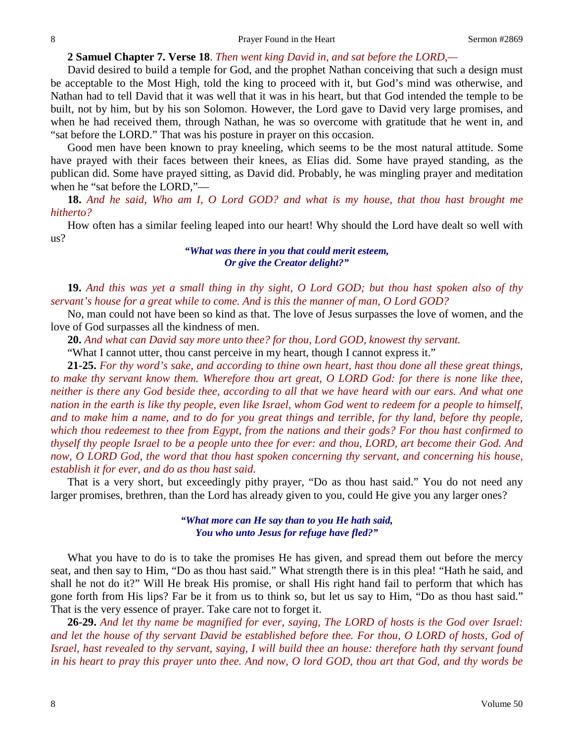**2 Samuel Chapter 7. Verse 18**. *Then went king David in, and sat before the LORD,—*

David desired to build a temple for God, and the prophet Nathan conceiving that such a design must be acceptable to the Most High, told the king to proceed with it, but God's mind was otherwise, and Nathan had to tell David that it was well that it was in his heart, but that God intended the temple to be built, not by him, but by his son Solomon. However, the Lord gave to David very large promises, and when he had received them, through Nathan, he was so overcome with gratitude that he went in, and "sat before the LORD." That was his posture in prayer on this occasion.

Good men have been known to pray kneeling, which seems to be the most natural attitude. Some have prayed with their faces between their knees, as Elias did. Some have prayed standing, as the publican did. Some have prayed sitting, as David did. Probably, he was mingling prayer and meditation when he "sat before the LORD,"—

**18.** *And he said, Who am I, O Lord GOD? and what is my house, that thou hast brought me hitherto?*

How often has a similar feeling leaped into our heart! Why should the Lord have dealt so well with us?

### *"What was there in you that could merit esteem, Or give the Creator delight?"*

**19.** *And this was yet a small thing in thy sight, O Lord GOD; but thou hast spoken also of thy servant's house for a great while to come. And is this the manner of man, O Lord GOD?*

No, man could not have been so kind as that. The love of Jesus surpasses the love of women, and the love of God surpasses all the kindness of men.

**20.** *And what can David say more unto thee? for thou, Lord GOD, knowest thy servant.*

"What I cannot utter, thou canst perceive in my heart, though I cannot express it."

**21-25.** *For thy word's sake, and according to thine own heart, hast thou done all these great things, to make thy servant know them. Wherefore thou art great, O LORD God: for there is none like thee, neither is there any God beside thee, according to all that we have heard with our ears. And what one nation in the earth is like thy people, even like Israel, whom God went to redeem for a people to himself, and to make him a name, and to do for you great things and terrible, for thy land, before thy people, which thou redeemest to thee from Egypt, from the nations and their gods? For thou hast confirmed to thyself thy people Israel to be a people unto thee for ever: and thou, LORD, art become their God. And*  now, O LORD God, the word that thou hast spoken concerning thy servant, and concerning his house, *establish it for ever, and do as thou hast said.*

That is a very short, but exceedingly pithy prayer, "Do as thou hast said." You do not need any larger promises, brethren, than the Lord has already given to you, could He give you any larger ones?

> *"What more can He say than to you He hath said, You who unto Jesus for refuge have fled?"*

What you have to do is to take the promises He has given, and spread them out before the mercy seat, and then say to Him, "Do as thou hast said." What strength there is in this plea! "Hath he said, and shall he not do it?" Will He break His promise, or shall His right hand fail to perform that which has gone forth from His lips? Far be it from us to think so, but let us say to Him, "Do as thou hast said." That is the very essence of prayer. Take care not to forget it.

**26-29.** *And let thy name be magnified for ever, saying, The LORD of hosts is the God over Israel:*  and let the house of thy servant David be established before thee. For thou, O LORD of hosts, God of *Israel, hast revealed to thy servant, saying, I will build thee an house: therefore hath thy servant found in his heart to pray this prayer unto thee. And now, O lord GOD, thou art that God, and thy words be*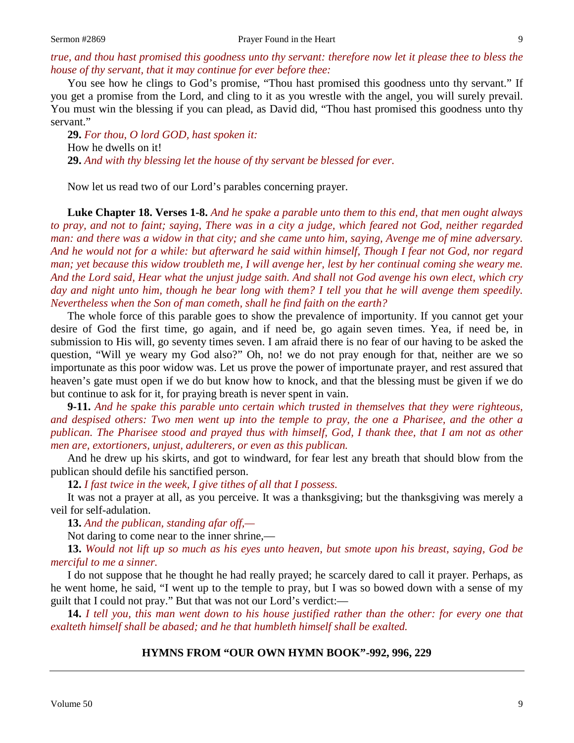*true, and thou hast promised this goodness unto thy servant: therefore now let it please thee to bless the house of thy servant, that it may continue for ever before thee:*

You see how he clings to God's promise, "Thou hast promised this goodness unto thy servant." If you get a promise from the Lord, and cling to it as you wrestle with the angel, you will surely prevail. You must win the blessing if you can plead, as David did, "Thou hast promised this goodness unto thy servant."

**29.** *For thou, O lord GOD, hast spoken it:* How he dwells on it! **29.** *And with thy blessing let the house of thy servant be blessed for ever.*

Now let us read two of our Lord's parables concerning prayer.

**Luke Chapter 18. Verses 1-8.** *And he spake a parable unto them to this end, that men ought always to pray, and not to faint; saying, There was in a city a judge, which feared not God, neither regarded man: and there was a widow in that city; and she came unto him, saying, Avenge me of mine adversary. And he would not for a while: but afterward he said within himself, Though I fear not God, nor regard man; yet because this widow troubleth me, I will avenge her, lest by her continual coming she weary me. And the Lord said, Hear what the unjust judge saith. And shall not God avenge his own elect, which cry day and night unto him, though he bear long with them? I tell you that he will avenge them speedily. Nevertheless when the Son of man cometh, shall he find faith on the earth?*

The whole force of this parable goes to show the prevalence of importunity. If you cannot get your desire of God the first time, go again, and if need be, go again seven times. Yea, if need be, in submission to His will, go seventy times seven. I am afraid there is no fear of our having to be asked the question, "Will ye weary my God also?" Oh, no! we do not pray enough for that, neither are we so importunate as this poor widow was. Let us prove the power of importunate prayer, and rest assured that heaven's gate must open if we do but know how to knock, and that the blessing must be given if we do but continue to ask for it, for praying breath is never spent in vain.

**9-11.** *And he spake this parable unto certain which trusted in themselves that they were righteous, and despised others: Two men went up into the temple to pray, the one a Pharisee, and the other a publican. The Pharisee stood and prayed thus with himself, God, I thank thee, that I am not as other men are, extortioners, unjust, adulterers, or even as this publican.*

And he drew up his skirts, and got to windward, for fear lest any breath that should blow from the publican should defile his sanctified person.

**12.** *I fast twice in the week, I give tithes of all that I possess.*

It was not a prayer at all, as you perceive. It was a thanksgiving; but the thanksgiving was merely a veil for self-adulation.

**13.** *And the publican, standing afar off,—*

Not daring to come near to the inner shrine,—

**13.** *Would not lift up so much as his eyes unto heaven, but smote upon his breast, saying, God be merciful to me a sinner.*

I do not suppose that he thought he had really prayed; he scarcely dared to call it prayer. Perhaps, as he went home, he said, "I went up to the temple to pray, but I was so bowed down with a sense of my guilt that I could not pray." But that was not our Lord's verdict:—

**14.** *I tell you, this man went down to his house justified rather than the other: for every one that exalteth himself shall be abased; and he that humbleth himself shall be exalted.*

## **HYMNS FROM "OUR OWN HYMN BOOK"-992, 996, 229**